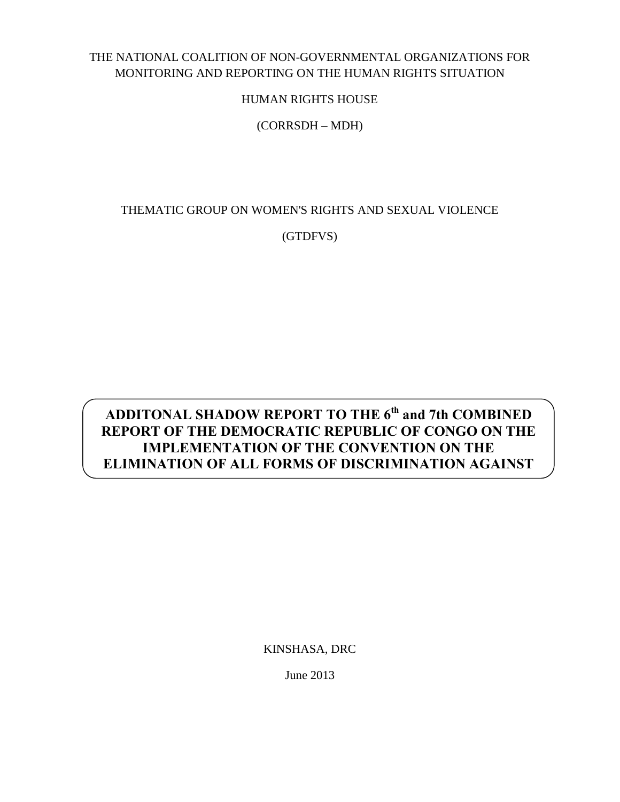## THE NATIONAL COALITION OF NON-GOVERNMENTAL ORGANIZATIONS FOR MONITORING AND REPORTING ON THE HUMAN RIGHTS SITUATION

HUMAN RIGHTS HOUSE

(CORRSDH – MDH)

THEMATIC GROUP ON WOMEN'S RIGHTS AND SEXUAL VIOLENCE

(GTDFVS)

# **ADDITONAL SHADOW REPORT TO THE 6th and 7th COMBINED REPORT OF THE DEMOCRATIC REPUBLIC OF CONGO ON THE IMPLEMENTATION OF THE CONVENTION ON THE ELIMINATION OF ALL FORMS OF DISCRIMINATION AGAINST**

<u>Women in Dreisen in der Staatsmann</u>

KINSHASA, DRC

June 2013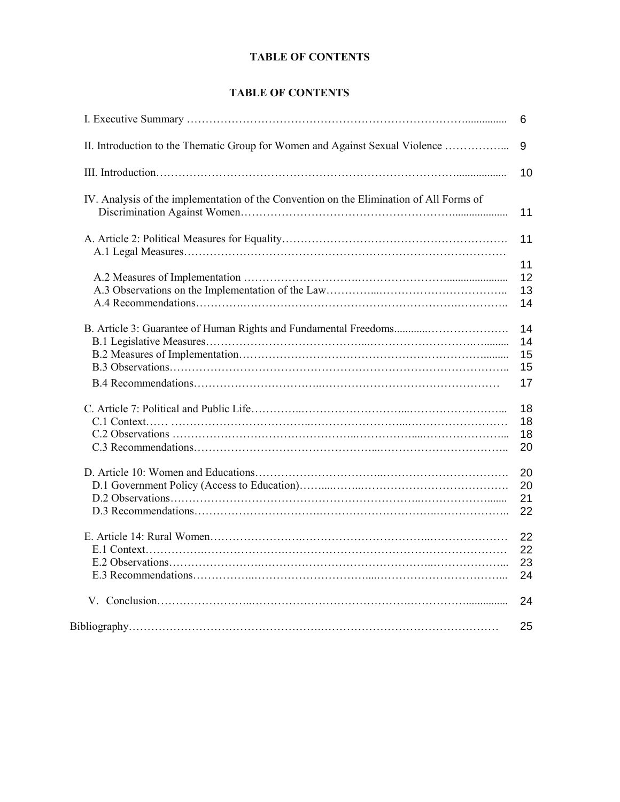## **TABLE OF CONTENTS**

#### **TABLE OF CONTENTS**

|                                                                                         | 6                          |
|-----------------------------------------------------------------------------------------|----------------------------|
| II. Introduction to the Thematic Group for Women and Against Sexual Violence            | 9                          |
|                                                                                         | 10                         |
| IV. Analysis of the implementation of the Convention on the Elimination of All Forms of | 11                         |
|                                                                                         | 11                         |
|                                                                                         | 11<br>12<br>13<br>14       |
|                                                                                         | 14<br>14<br>15<br>15<br>17 |
|                                                                                         | 18<br>18<br>18<br>20       |
|                                                                                         | 20<br>20<br>21<br>22       |
|                                                                                         | 22<br>22<br>23<br>24       |
|                                                                                         | 24                         |
|                                                                                         | 25                         |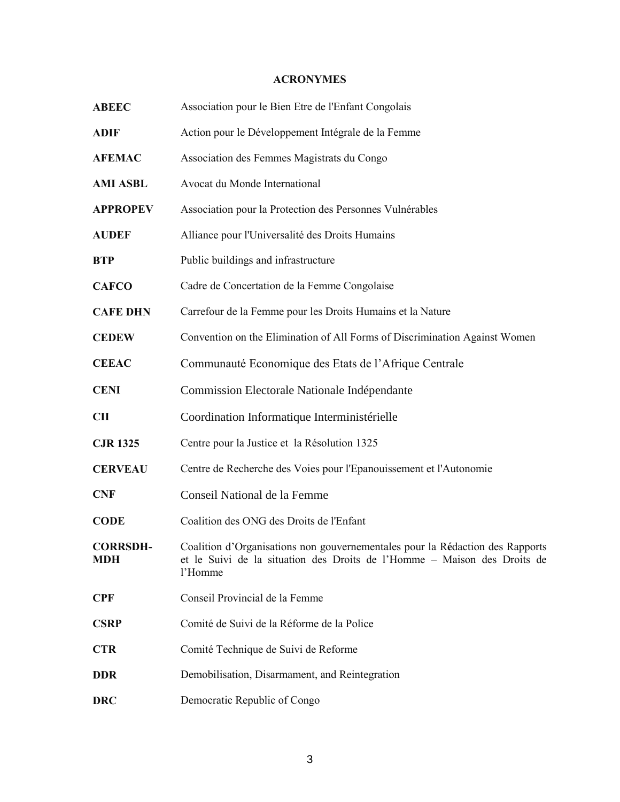## **ACRONYMES**

| <b>ABEEC</b>                  | Association pour le Bien Etre de l'Enfant Congolais                                                                                                                  |  |  |  |  |
|-------------------------------|----------------------------------------------------------------------------------------------------------------------------------------------------------------------|--|--|--|--|
| <b>ADIF</b>                   | Action pour le Développement Intégrale de la Femme                                                                                                                   |  |  |  |  |
| <b>AFEMAC</b>                 | Association des Femmes Magistrats du Congo                                                                                                                           |  |  |  |  |
| <b>AMI ASBL</b>               | Avocat du Monde International                                                                                                                                        |  |  |  |  |
| <b>APPROPEV</b>               | Association pour la Protection des Personnes Vulnérables                                                                                                             |  |  |  |  |
| <b>AUDEF</b>                  | Alliance pour l'Universalité des Droits Humains                                                                                                                      |  |  |  |  |
| <b>BTP</b>                    | Public buildings and infrastructure                                                                                                                                  |  |  |  |  |
| <b>CAFCO</b>                  | Cadre de Concertation de la Femme Congolaise                                                                                                                         |  |  |  |  |
| <b>CAFE DHN</b>               | Carrefour de la Femme pour les Droits Humains et la Nature                                                                                                           |  |  |  |  |
| <b>CEDEW</b>                  | Convention on the Elimination of All Forms of Discrimination Against Women                                                                                           |  |  |  |  |
| <b>CEEAC</b>                  | Communauté Economique des Etats de l'Afrique Centrale                                                                                                                |  |  |  |  |
| <b>CENI</b>                   | Commission Electorale Nationale Indépendante                                                                                                                         |  |  |  |  |
|                               |                                                                                                                                                                      |  |  |  |  |
| <b>CII</b>                    | Coordination Informatique Interministérielle                                                                                                                         |  |  |  |  |
| <b>CJR 1325</b>               | Centre pour la Justice et la Résolution 1325                                                                                                                         |  |  |  |  |
| <b>CERVEAU</b>                | Centre de Recherche des Voies pour l'Epanouissement et l'Autonomie                                                                                                   |  |  |  |  |
| <b>CNF</b>                    | Conseil National de la Femme                                                                                                                                         |  |  |  |  |
| <b>CODE</b>                   | Coalition des ONG des Droits de l'Enfant                                                                                                                             |  |  |  |  |
| <b>CORRSDH-</b><br><b>MDH</b> | Coalition d'Organisations non gouvernementales pour la Rédaction des Rapports<br>et le Suivi de la situation des Droits de l'Homme – Maison des Droits de<br>l'Homme |  |  |  |  |
| <b>CPF</b>                    | Conseil Provincial de la Femme                                                                                                                                       |  |  |  |  |
| <b>CSRP</b>                   | Comité de Suivi de la Réforme de la Police                                                                                                                           |  |  |  |  |
| <b>CTR</b>                    | Comité Technique de Suivi de Reforme                                                                                                                                 |  |  |  |  |
| <b>DDR</b>                    | Demobilisation, Disarmament, and Reintegration                                                                                                                       |  |  |  |  |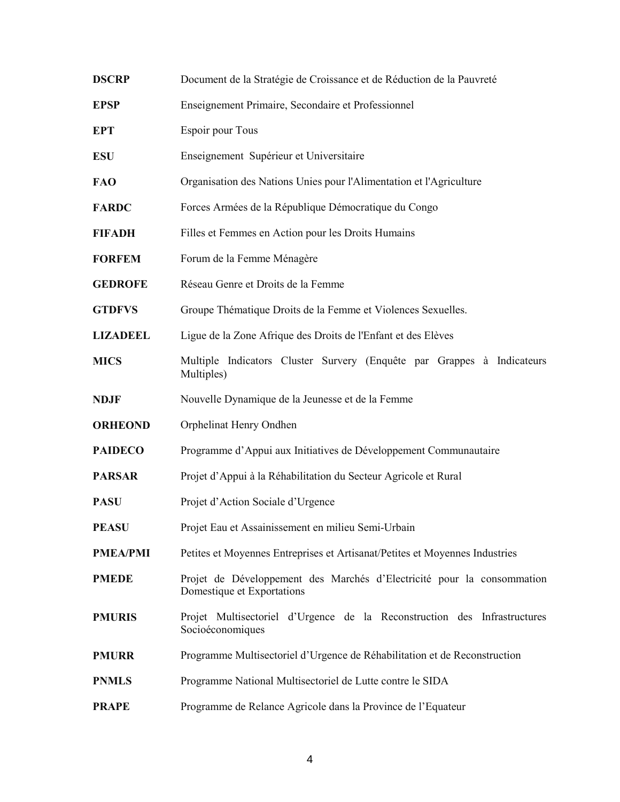| <b>DSCRP</b>    | Document de la Stratégie de Croissance et de Réduction de la Pauvreté                                |  |  |  |  |
|-----------------|------------------------------------------------------------------------------------------------------|--|--|--|--|
| <b>EPSP</b>     | Enseignement Primaire, Secondaire et Professionnel                                                   |  |  |  |  |
| <b>EPT</b>      | Espoir pour Tous                                                                                     |  |  |  |  |
| <b>ESU</b>      | Enseignement Supérieur et Universitaire                                                              |  |  |  |  |
| <b>FAO</b>      | Organisation des Nations Unies pour l'Alimentation et l'Agriculture                                  |  |  |  |  |
| <b>FARDC</b>    | Forces Armées de la République Démocratique du Congo                                                 |  |  |  |  |
| <b>FIFADH</b>   | Filles et Femmes en Action pour les Droits Humains                                                   |  |  |  |  |
| <b>FORFEM</b>   | Forum de la Femme Ménagère                                                                           |  |  |  |  |
| <b>GEDROFE</b>  | Réseau Genre et Droits de la Femme                                                                   |  |  |  |  |
| <b>GTDFVS</b>   | Groupe Thématique Droits de la Femme et Violences Sexuelles.                                         |  |  |  |  |
| <b>LIZADEEL</b> | Ligue de la Zone Afrique des Droits de l'Enfant et des Elèves                                        |  |  |  |  |
| <b>MICS</b>     | Multiple Indicators Cluster Survery (Enquête par Grappes à Indicateurs<br>Multiples)                 |  |  |  |  |
| <b>NDJF</b>     | Nouvelle Dynamique de la Jeunesse et de la Femme                                                     |  |  |  |  |
| <b>ORHEOND</b>  | Orphelinat Henry Ondhen                                                                              |  |  |  |  |
| <b>PAIDECO</b>  | Programme d'Appui aux Initiatives de Développement Communautaire                                     |  |  |  |  |
| <b>PARSAR</b>   | Projet d'Appui à la Réhabilitation du Secteur Agricole et Rural                                      |  |  |  |  |
| <b>PASU</b>     | Projet d'Action Sociale d'Urgence                                                                    |  |  |  |  |
| PEASU           | Projet Eau et Assainissement en milieu Semi-Urbain                                                   |  |  |  |  |
| <b>PMEA/PMI</b> | Petites et Moyennes Entreprises et Artisanat/Petites et Moyennes Industries                          |  |  |  |  |
| <b>PMEDE</b>    | Projet de Développement des Marchés d'Electricité pour la consommation<br>Domestique et Exportations |  |  |  |  |
| <b>PMURIS</b>   | Projet Multisectoriel d'Urgence de la Reconstruction des Infrastructures<br>Socioéconomiques         |  |  |  |  |
| <b>PMURR</b>    | Programme Multisectoriel d'Urgence de Réhabilitation et de Reconstruction                            |  |  |  |  |
| <b>PNMLS</b>    | Programme National Multisectoriel de Lutte contre le SIDA                                            |  |  |  |  |
| <b>PRAPE</b>    | Programme de Relance Agricole dans la Province de l'Equateur                                         |  |  |  |  |
|                 |                                                                                                      |  |  |  |  |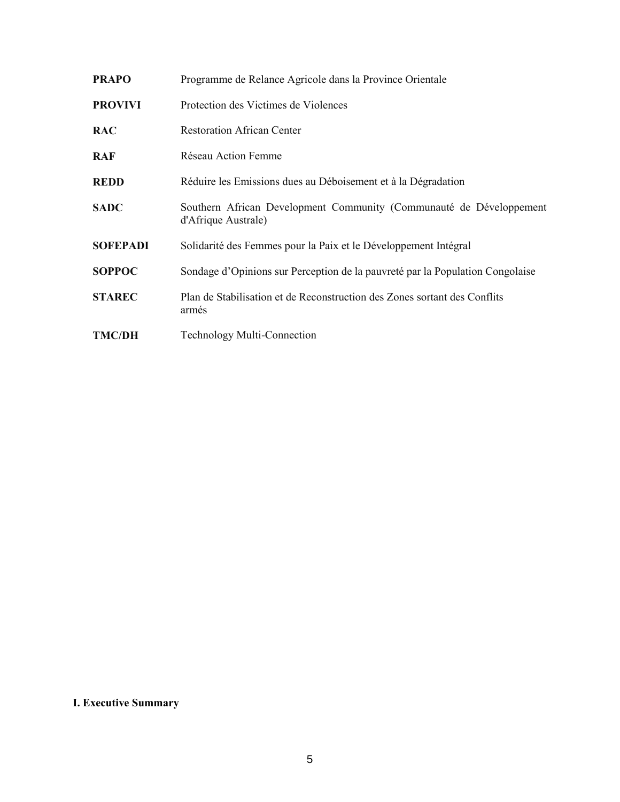| <b>PRAPO</b>    | Programme de Relance Agricole dans la Province Orientale                                   |  |  |  |  |
|-----------------|--------------------------------------------------------------------------------------------|--|--|--|--|
| <b>PROVIVI</b>  | Protection des Victimes de Violences                                                       |  |  |  |  |
| <b>RAC</b>      | <b>Restoration African Center</b>                                                          |  |  |  |  |
| RAF             | Réseau Action Femme                                                                        |  |  |  |  |
| REDD            | Réduire les Emissions dues au Déboisement et à la Dégradation                              |  |  |  |  |
| <b>SADC</b>     | Southern African Development Community (Communauté de Développement<br>d'Afrique Australe) |  |  |  |  |
| <b>SOFEPADI</b> | Solidarité des Femmes pour la Paix et le Développement Intégral                            |  |  |  |  |
| <b>SOPPOC</b>   | Sondage d'Opinions sur Perception de la pauvreté par la Population Congolaise              |  |  |  |  |
| <b>STAREC</b>   | Plan de Stabilisation et de Reconstruction des Zones sortant des Conflits<br>armés         |  |  |  |  |
| <b>TMC/DH</b>   | <b>Technology Multi-Connection</b>                                                         |  |  |  |  |

## **I. Executive Summary**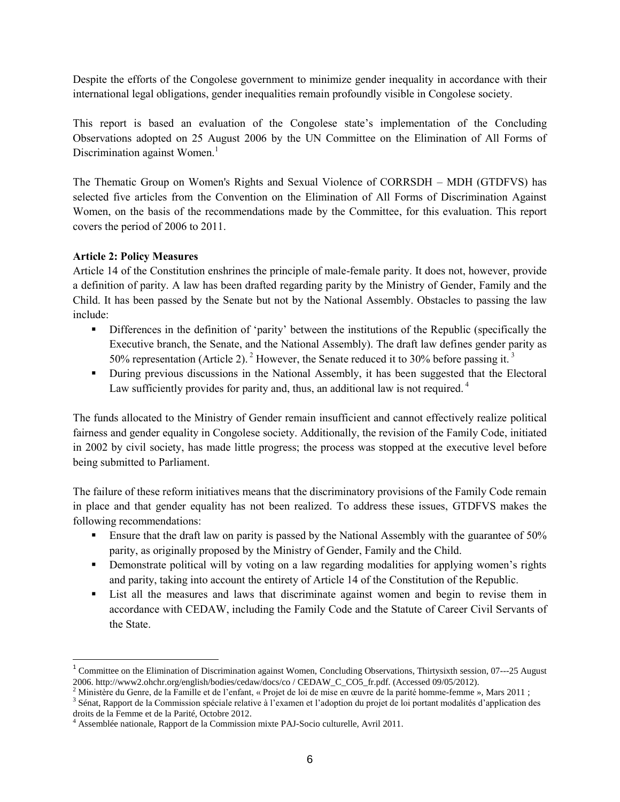Despite the efforts of the Congolese government to minimize gender inequality in accordance with their international legal obligations, gender inequalities remain profoundly visible in Congolese society.

This report is based an evaluation of the Congolese state's implementation of the Concluding Observations adopted on 25 August 2006 by the UN Committee on the Elimination of All Forms of Discrimination against Women. $<sup>1</sup>$ </sup>

The Thematic Group on Women's Rights and Sexual Violence of CORRSDH – MDH (GTDFVS) has selected five articles from the Convention on the Elimination of All Forms of Discrimination Against Women, on the basis of the recommendations made by the Committee, for this evaluation. This report covers the period of 2006 to 2011.

## **Article 2: Policy Measures**

Article 14 of the Constitution enshrines the principle of male-female parity. It does not, however, provide a definition of parity. A law has been drafted regarding parity by the Ministry of Gender, Family and the Child. It has been passed by the Senate but not by the National Assembly. Obstacles to passing the law include:

- Differences in the definition of 'parity' between the institutions of the Republic (specifically the Executive branch, the Senate, and the National Assembly). The draft law defines gender parity as 50% representation (Article 2). <sup>2</sup> However, the Senate reduced it to 30% before passing it.<sup>3</sup>
- During previous discussions in the National Assembly, it has been suggested that the Electoral Law sufficiently provides for parity and, thus, an additional law is not required.<sup>4</sup>

The funds allocated to the Ministry of Gender remain insufficient and cannot effectively realize political fairness and gender equality in Congolese society. Additionally, the revision of the Family Code, initiated in 2002 by civil society, has made little progress; the process was stopped at the executive level before being submitted to Parliament.

The failure of these reform initiatives means that the discriminatory provisions of the Family Code remain in place and that gender equality has not been realized. To address these issues, GTDFVS makes the following recommendations:

- Ensure that the draft law on parity is passed by the National Assembly with the guarantee of 50% parity, as originally proposed by the Ministry of Gender, Family and the Child.
- **•** Demonstrate political will by voting on a law regarding modalities for applying women's rights and parity, taking into account the entirety of Article 14 of the Constitution of the Republic.
- List all the measures and laws that discriminate against women and begin to revise them in accordance with CEDAW, including the Family Code and the Statute of Career Civil Servants of the State.

<sup>&</sup>lt;sup>1</sup> Committee on the Elimination of Discrimination against Women, Concluding Observations, Thirtysixth session, 07---25 August 2006. http://www2.ohchr.org/english/bodies/cedaw/docs/co / CEDAW\_C\_CO5\_fr.pdf. (Accessed 09/05/2012).

<sup>&</sup>lt;sup>2</sup> Ministère du Genre, de la Famille et de l'enfant, « Projet de loi de mise en œuvre de la parité homme-femme », Mars 2011 ;

<sup>&</sup>lt;sup>3</sup> Sénat, Rapport de la Commission spéciale relative à l'examen et l'adoption du projet de loi portant modalités d'application des droits de la Femme et de la Parité, Octobre 2012.

 $<sup>4</sup>$  Assemblée nationale, Rapport de la Commission mixte PAJ-Socio culturelle, Avril 2011.</sup>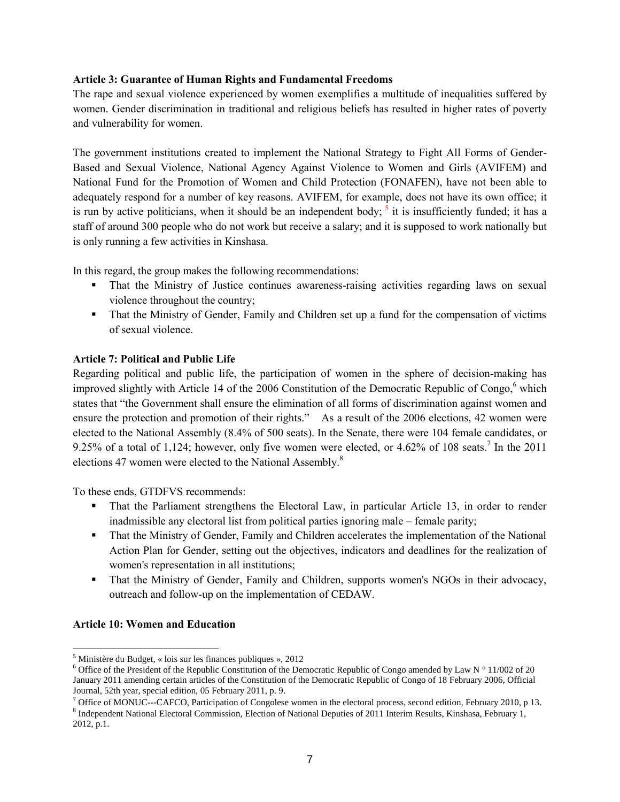#### **Article 3: Guarantee of Human Rights and Fundamental Freedoms**

The rape and sexual violence experienced by women exemplifies a multitude of inequalities suffered by women. Gender discrimination in traditional and religious beliefs has resulted in higher rates of poverty and vulnerability for women.

The government institutions created to implement the National Strategy to Fight All Forms of Gender-Based and Sexual Violence, National Agency Against Violence to Women and Girls (AVIFEM) and National Fund for the Promotion of Women and Child Protection (FONAFEN), have not been able to adequately respond for a number of key reasons. AVIFEM, for example, does not have its own office; it is run by active politicians, when it should be an independent body;  $<sup>5</sup>$  it is insufficiently funded; it has a</sup> staff of around 300 people who do not work but receive a salary; and it is supposed to work nationally but is only running a few activities in Kinshasa.

In this regard, the group makes the following recommendations:

- That the Ministry of Justice continues awareness-raising activities regarding laws on sexual violence throughout the country;
- That the Ministry of Gender, Family and Children set up a fund for the compensation of victims of sexual violence.

## **Article 7: Political and Public Life**

Regarding political and public life, the participation of women in the sphere of decision-making has improved slightly with Article 14 of the 2006 Constitution of the Democratic Republic of Congo, <sup>6</sup> which states that "the Government shall ensure the elimination of all forms of discrimination against women and ensure the protection and promotion of their rights." As a result of the 2006 elections, 42 women were elected to the National Assembly (8.4% of 500 seats). In the Senate, there were 104 female candidates, or 9.25% of a total of 1,124; however, only five women were elected, or 4.62% of 108 seats.<sup>7</sup> In the 2011 elections 47 women were elected to the National Assembly.<sup>8</sup>

To these ends, GTDFVS recommends:

- That the Parliament strengthens the Electoral Law, in particular Article 13, in order to render inadmissible any electoral list from political parties ignoring male – female parity;
- That the Ministry of Gender, Family and Children accelerates the implementation of the National Action Plan for Gender, setting out the objectives, indicators and deadlines for the realization of women's representation in all institutions;
- That the Ministry of Gender, Family and Children, supports women's NGOs in their advocacy, outreach and follow-up on the implementation of CEDAW.

## **Article 10: Women and Education**

 $\overline{a}$  $<sup>5</sup>$  Ministère du Budget, « lois sur les finances publiques », 2012</sup>

<sup>&</sup>lt;sup>6</sup> Office of the President of the Republic Constitution of the Democratic Republic of Congo amended by Law N  $\degree$  11/002 of 20 January 2011 amending certain articles of the Constitution of the Democratic Republic of Congo of 18 February 2006, Official Journal, 52th year, special edition, 05 February 2011, p. 9.

 $7$  Office of MONUC---CAFCO, Participation of Congolese women in the electoral process, second edition, February 2010, p 13.

<sup>8</sup> Independent National Electoral Commission, Election of National Deputies of 2011 Interim Results, Kinshasa, February 1, 2012, p.1.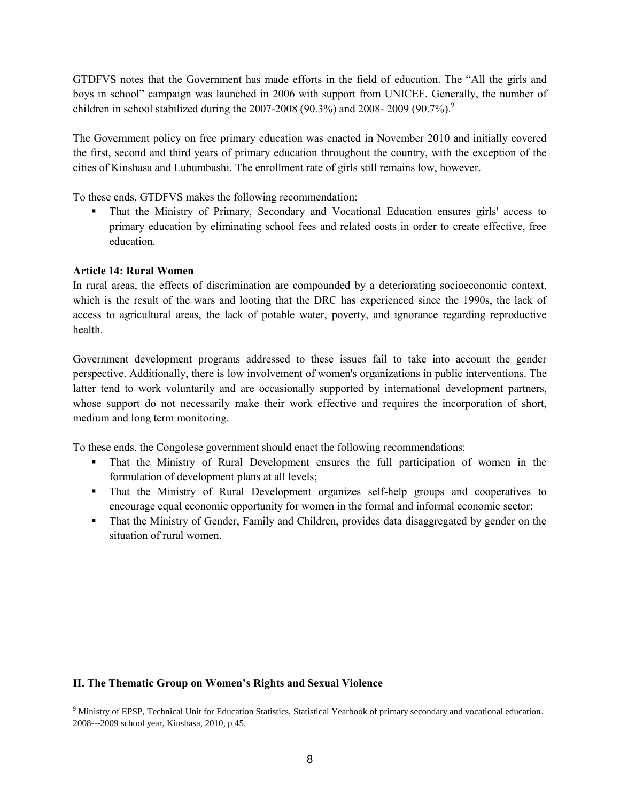GTDFVS notes that the Government has made efforts in the field of education. The "All the girls and boys in school" campaign was launched in 2006 with support from UNICEF. Generally, the number of children in school stabilized during the  $2007-2008$  (90.3%) and  $2008-2009$  (90.7%).<sup>9</sup>

The Government policy on free primary education was enacted in November 2010 and initially covered the first, second and third years of primary education throughout the country, with the exception of the cities of Kinshasa and Lubumbashi. The enrollment rate of girls still remains low, however.

To these ends, GTDFVS makes the following recommendation:

 That the Ministry of Primary, Secondary and Vocational Education ensures girls' access to primary education by eliminating school fees and related costs in order to create effective, free education.

#### **Article 14: Rural Women**

 $\overline{a}$ 

In rural areas, the effects of discrimination are compounded by a deteriorating socioeconomic context, which is the result of the wars and looting that the DRC has experienced since the 1990s, the lack of access to agricultural areas, the lack of potable water, poverty, and ignorance regarding reproductive health.

Government development programs addressed to these issues fail to take into account the gender perspective. Additionally, there is low involvement of women's organizations in public interventions. The latter tend to work voluntarily and are occasionally supported by international development partners, whose support do not necessarily make their work effective and requires the incorporation of short, medium and long term monitoring.

To these ends, the Congolese government should enact the following recommendations:

- That the Ministry of Rural Development ensures the full participation of women in the formulation of development plans at all levels;
- That the Ministry of Rural Development organizes self-help groups and cooperatives to encourage equal economic opportunity for women in the formal and informal economic sector;
- That the Ministry of Gender, Family and Children, provides data disaggregated by gender on the situation of rural women.

## **II. The Thematic Group on Women's Rights and Sexual Violence**

<sup>&</sup>lt;sup>9</sup> Ministry of EPSP, Technical Unit for Education Statistics, Statistical Yearbook of primary secondary and vocational education. 2008--‐2009 school year, Kinshasa, 2010, p 45.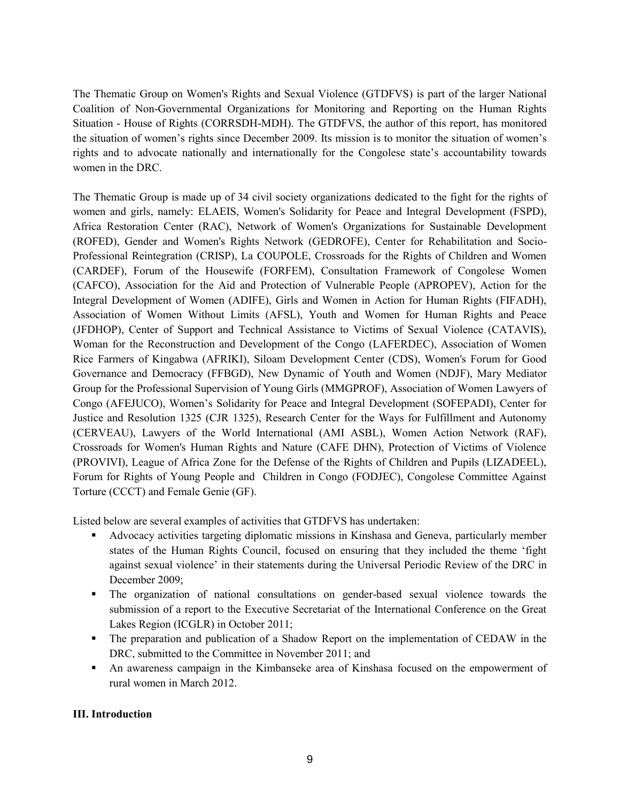The Thematic Group on Women's Rights and Sexual Violence (GTDFVS) is part of the larger National Coalition of Non-Governmental Organizations for Monitoring and Reporting on the Human Rights Situation - House of Rights (CORRSDH-MDH). The GTDFVS, the author of this report, has monitored the situation of women's rights since December 2009. Its mission is to monitor the situation of women's rights and to advocate nationally and internationally for the Congolese state's accountability towards women in the DRC.

The Thematic Group is made up of 34 civil society organizations dedicated to the fight for the rights of women and girls, namely: ELAEIS, Women's Solidarity for Peace and Integral Development (FSPD), Africa Restoration Center (RAC), Network of Women's Organizations for Sustainable Development (ROFED), Gender and Women's Rights Network (GEDROFE), Center for Rehabilitation and Socio-Professional Reintegration (CRISP), La COUPOLE, Crossroads for the Rights of Children and Women (CARDEF), Forum of the Housewife (FORFEM), Consultation Framework of Congolese Women (CAFCO), Association for the Aid and Protection of Vulnerable People (APROPEV), Action for the Integral Development of Women (ADIFE), Girls and Women in Action for Human Rights (FIFADH), Association of Women Without Limits (AFSL), Youth and Women for Human Rights and Peace (JFDHOP), Center of Support and Technical Assistance to Victims of Sexual Violence (CATAVIS), Woman for the Reconstruction and Development of the Congo (LAFERDEC), Association of Women Rice Farmers of Kingabwa (AFRIKI), Siloam Development Center (CDS), Women's Forum for Good Governance and Democracy (FFBGD), New Dynamic of Youth and Women (NDJF), Mary Mediator Group for the Professional Supervision of Young Girls (MMGPROF), Association of Women Lawyers of Congo (AFEJUCO), Women's Solidarity for Peace and Integral Development (SOFEPADI), Center for Justice and Resolution 1325 (CJR 1325), Research Center for the Ways for Fulfillment and Autonomy (CERVEAU), Lawyers of the World International (AMI ASBL), Women Action Network (RAF), Crossroads for Women's Human Rights and Nature (CAFE DHN), Protection of Victims of Violence (PROVIVI), League of Africa Zone for the Defense of the Rights of Children and Pupils (LIZADEEL), Forum for Rights of Young People and Children in Congo (FODJEC), Congolese Committee Against Torture (CCCT) and Female Genie (GF).

Listed below are several examples of activities that GTDFVS has undertaken:

- Advocacy activities targeting diplomatic missions in Kinshasa and Geneva, particularly member states of the Human Rights Council, focused on ensuring that they included the theme 'fight against sexual violence' in their statements during the Universal Periodic Review of the DRC in December 2009;
- The organization of national consultations on gender-based sexual violence towards the submission of a report to the Executive Secretariat of the International Conference on the Great Lakes Region (ICGLR) in October 2011;
- The preparation and publication of a Shadow Report on the implementation of CEDAW in the DRC, submitted to the Committee in November 2011; and
- An awareness campaign in the Kimbanseke area of Kinshasa focused on the empowerment of rural women in March 2012.

## **III. Introduction**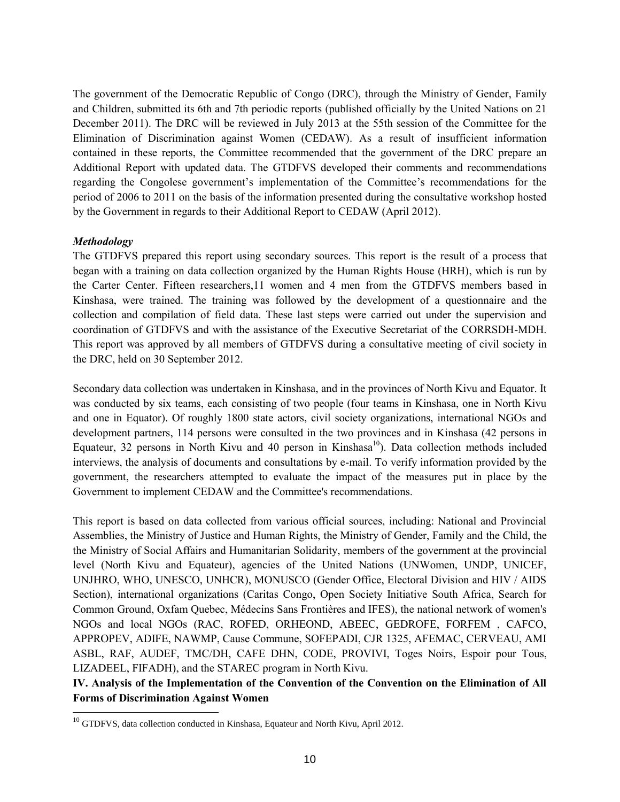The government of the Democratic Republic of Congo (DRC), through the Ministry of Gender, Family and Children, submitted its 6th and 7th periodic reports (published officially by the United Nations on 21 December 2011). The DRC will be reviewed in July 2013 at the 55th session of the Committee for the Elimination of Discrimination against Women (CEDAW). As a result of insufficient information contained in these reports, the Committee recommended that the government of the DRC prepare an Additional Report with updated data. The GTDFVS developed their comments and recommendations regarding the Congolese government's implementation of the Committee's recommendations for the period of 2006 to 2011 on the basis of the information presented during the consultative workshop hosted by the Government in regards to their Additional Report to CEDAW (April 2012).

#### *Methodology*

The GTDFVS prepared this report using secondary sources. This report is the result of a process that began with a training on data collection organized by the Human Rights House (HRH), which is run by the Carter Center. Fifteen researchers,11 women and 4 men from the GTDFVS members based in Kinshasa, were trained. The training was followed by the development of a questionnaire and the collection and compilation of field data. These last steps were carried out under the supervision and coordination of GTDFVS and with the assistance of the Executive Secretariat of the CORRSDH-MDH. This report was approved by all members of GTDFVS during a consultative meeting of civil society in the DRC, held on 30 September 2012.

Secondary data collection was undertaken in Kinshasa, and in the provinces of North Kivu and Equator. It was conducted by six teams, each consisting of two people (four teams in Kinshasa, one in North Kivu and one in Equator). Of roughly 1800 state actors, civil society organizations, international NGOs and development partners, 114 persons were consulted in the two provinces and in Kinshasa (42 persons in Equateur, 32 persons in North Kivu and 40 person in Kinshasa<sup>10</sup>). Data collection methods included interviews, the analysis of documents and consultations by e-mail. To verify information provided by the government, the researchers attempted to evaluate the impact of the measures put in place by the Government to implement CEDAW and the Committee's recommendations.

This report is based on data collected from various official sources, including: National and Provincial Assemblies, the Ministry of Justice and Human Rights, the Ministry of Gender, Family and the Child, the the Ministry of Social Affairs and Humanitarian Solidarity, members of the government at the provincial level (North Kivu and Equateur), agencies of the United Nations (UNWomen, UNDP, UNICEF, UNJHRO, WHO, UNESCO, UNHCR), MONUSCO (Gender Office, Electoral Division and HIV / AIDS Section), international organizations (Caritas Congo, Open Society Initiative South Africa, Search for Common Ground, Oxfam Quebec, Médecins Sans Frontières and IFES), the national network of women's NGOs and local NGOs (RAC, ROFED, ORHEOND, ABEEC, GEDROFE, FORFEM , CAFCO, APPROPEV, ADIFE, NAWMP, Cause Commune, SOFEPADI, CJR 1325, AFEMAC, CERVEAU, AMI ASBL, RAF, AUDEF, TMC/DH, CAFE DHN, CODE, PROVIVI, Toges Noirs, Espoir pour Tous, LIZADEEL, FIFADH), and the STAREC program in North Kivu.

**IV. Analysis of the Implementation of the Convention of the Convention on the Elimination of All Forms of Discrimination Against Women**

 $10$  GTDFVS, data collection conducted in Kinshasa, Equateur and North Kivu, April 2012.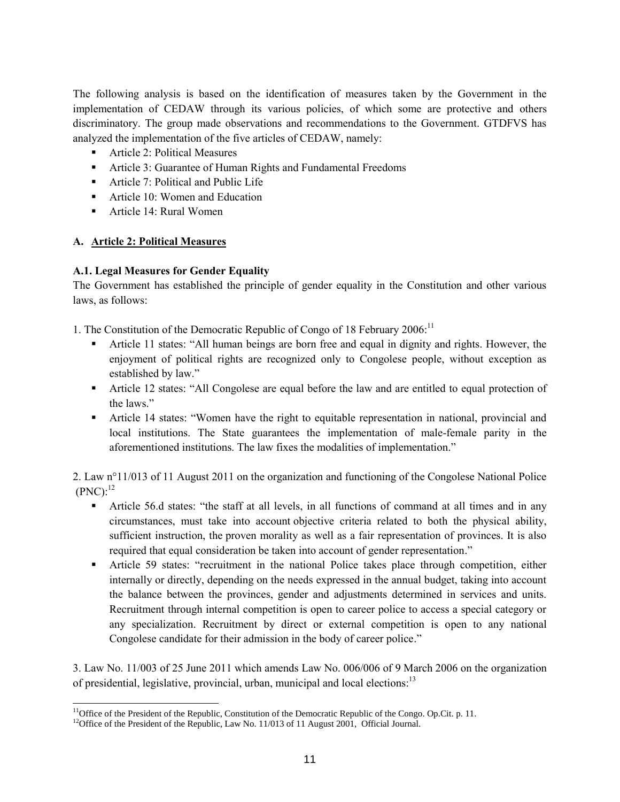The following analysis is based on the identification of measures taken by the Government in the implementation of CEDAW through its various policies, of which some are protective and others discriminatory. The group made observations and recommendations to the Government. GTDFVS has analyzed the implementation of the five articles of CEDAW, namely:

- **Article 2: Political Measures**
- Article 3: Guarantee of Human Rights and Fundamental Freedoms
- Article 7: Political and Public Life
- **Article 10: Women and Education**
- Article 14: Rural Women

## **A. Article 2: Political Measures**

 $\overline{a}$ 

## **A.1. Legal Measures for Gender Equality**

The Government has established the principle of gender equality in the Constitution and other various laws, as follows:

1. The Constitution of the Democratic Republic of Congo of 18 February 2006:<sup>11</sup>

- Article 11 states: "All human beings are born free and equal in dignity and rights. However, the enjoyment of political rights are recognized only to Congolese people, without exception as established by law."
- Article 12 states: "All Congolese are equal before the law and are entitled to equal protection of the laws."
- Article 14 states: "Women have the right to equitable representation in national, provincial and local institutions. The State guarantees the implementation of male-female parity in the aforementioned institutions. The law fixes the modalities of implementation."

2. Law n°11/013 of 11 August 2011 on the organization and functioning of the Congolese National Police  $(PNC):^{12}$ 

- Article 56.d states: "the staff at all levels, in all functions of command at all times and in any circumstances, must take into account objective criteria related to both the physical ability, sufficient instruction, the proven morality as well as a fair representation of provinces. It is also required that equal consideration be taken into account of gender representation."
- Article 59 states: "recruitment in the national Police takes place through competition, either internally or directly, depending on the needs expressed in the annual budget, taking into account the balance between the provinces, gender and adjustments determined in services and units. Recruitment through internal competition is open to career police to access a special category or any specialization. Recruitment by direct or external competition is open to any national Congolese candidate for their admission in the body of career police."

3. Law No. 11/003 of 25 June 2011 which amends Law No. 006/006 of 9 March 2006 on the organization of presidential, legislative, provincial, urban, municipal and local elections:<sup>13</sup>

 $11$ Office of the President of the Republic, Constitution of the Democratic Republic of the Congo. Op.Cit. p. 11.

<sup>&</sup>lt;sup>12</sup>Office of the President of the Republic, Law No. 11/013 of 11 August 2001, Official Journal.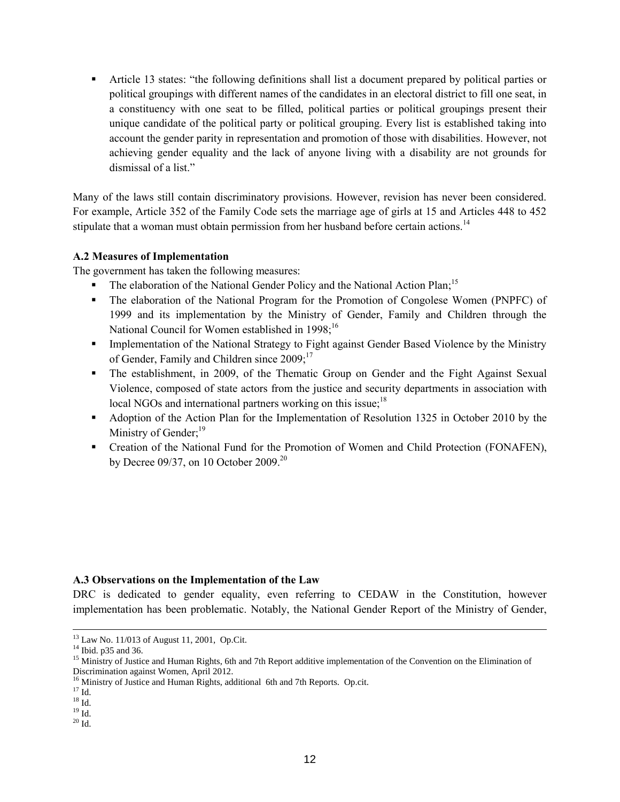Article 13 states: "the following definitions shall list a document prepared by political parties or political groupings with different names of the candidates in an electoral district to fill one seat, in a constituency with one seat to be filled, political parties or political groupings present their unique candidate of the political party or political grouping. Every list is established taking into account the gender parity in representation and promotion of those with disabilities. However, not achieving gender equality and the lack of anyone living with a disability are not grounds for dismissal of a list."

Many of the laws still contain discriminatory provisions. However, revision has never been considered. For example, Article 352 of the Family Code sets the marriage age of girls at 15 and Articles 448 to 452 stipulate that a woman must obtain permission from her husband before certain actions.<sup>14</sup>

#### **A.2 Measures of Implementation**

The government has taken the following measures:

- The elaboration of the National Gender Policy and the National Action Plan;<sup>15</sup>
- The elaboration of the National Program for the Promotion of Congolese Women (PNPFC) of 1999 and its implementation by the Ministry of Gender, Family and Children through the National Council for Women established in 1998;<sup>16</sup>
- Implementation of the National Strategy to Fight against Gender Based Violence by the Ministry of Gender, Family and Children since 2009;<sup>17</sup>
- The establishment, in 2009, of the Thematic Group on Gender and the Fight Against Sexual Violence, composed of state actors from the justice and security departments in association with local NGOs and international partners working on this issue;<sup>18</sup>
- Adoption of the Action Plan for the Implementation of Resolution 1325 in October 2010 by the Ministry of Gender;<sup>19</sup>
- Creation of the National Fund for the Promotion of Women and Child Protection (FONAFEN), by Decree 09/37, on 10 October 2009.<sup>20</sup>

#### **A.3 Observations on the Implementation of the Law**

DRC is dedicated to gender equality, even referring to CEDAW in the Constitution, however implementation has been problematic. Notably, the National Gender Report of the Ministry of Gender,

<sup>&</sup>lt;sup>13</sup> Law No. 11/013 of August 11, 2001, Op.Cit.

 $14$  Ibid. p35 and 36.

<sup>&</sup>lt;sup>15</sup> Ministry of Justice and Human Rights, 6th and 7th Report additive implementation of the Convention on the Elimination of Discrimination against Women, April 2012.

<sup>&</sup>lt;sup>16</sup> Ministry of Justice and Human Rights, additional 6th and 7th Reports. Op.cit.

 $^{17}$  Id.

 $^{18}$  Id.

 $^{19}$  Id.  $\,$ 

 $20$  Id.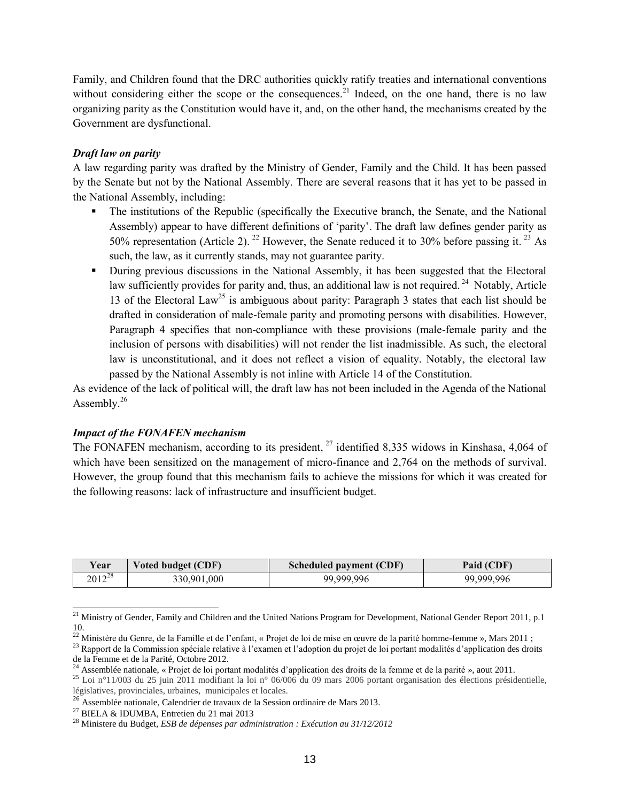Family, and Children found that the DRC authorities quickly ratify treaties and international conventions without considering either the scope or the consequences.<sup>21</sup> Indeed, on the one hand, there is no law organizing parity as the Constitution would have it, and, on the other hand, the mechanisms created by the Government are dysfunctional.

#### *Draft law on parity*

A law regarding parity was drafted by the Ministry of Gender, Family and the Child. It has been passed by the Senate but not by the National Assembly. There are several reasons that it has yet to be passed in the National Assembly, including:

- The institutions of the Republic (specifically the Executive branch, the Senate, and the National Assembly) appear to have different definitions of 'parity'. The draft law defines gender parity as 50% representation (Article 2). <sup>22</sup> However, the Senate reduced it to 30% before passing it. <sup>23</sup> As such, the law, as it currently stands, may not guarantee parity.
- During previous discussions in the National Assembly, it has been suggested that the Electoral law sufficiently provides for parity and, thus, an additional law is not required.<sup>24</sup> Notably, Article 13 of the Electoral Law<sup>25</sup> is ambiguous about parity: Paragraph 3 states that each list should be drafted in consideration of male-female parity and promoting persons with disabilities. However, Paragraph 4 specifies that non-compliance with these provisions (male-female parity and the inclusion of persons with disabilities) will not render the list inadmissible. As such, the electoral law is unconstitutional, and it does not reflect a vision of equality. Notably, the electoral law passed by the National Assembly is not inline with Article 14 of the Constitution.

As evidence of the lack of political will, the draft law has not been included in the Agenda of the National Assembly. $26$ 

## *Impact of the FONAFEN mechanism*

The FONAFEN mechanism, according to its president, <sup>27</sup> identified 8,335 widows in Kinshasa, 4,064 of which have been sensitized on the management of micro-finance and 2,764 on the methods of survival. However, the group found that this mechanism fails to achieve the missions for which it was created for the following reasons: lack of infrastructure and insufficient budget.

| Voted budget (CDF)<br>r ear |             | Scheduled payment (CDF) | Paid (CDF) |  |
|-----------------------------|-------------|-------------------------|------------|--|
| $2012^{28}$                 | 330,901,000 | 99,999,996              | 99.999.996 |  |

<sup>&</sup>lt;sup>21</sup> Ministry of Gender, Family and Children and the United Nations Program for Development, National Gender Report 2011, p.1 10.

<sup>&</sup>lt;sup>22</sup> Ministère du Genre, de la Famille et de l'enfant, « Projet de loi de mise en œuvre de la parité homme-femme », Mars 2011 ;

<sup>&</sup>lt;sup>23</sup> Rapport de la Commission spéciale relative à l'examen et l'adoption du projet de loi portant modalités d'application des droits de la Femme et de la Parité, Octobre 2012.

<sup>&</sup>lt;sup>24</sup> Assemblée nationale, « Projet de loi portant modalités d'application des droits de la femme et de la parité », aout 2011.

<sup>&</sup>lt;sup>25</sup> Loi n°11/003 du 25 juin 2011 modifiant la loi n° 06/006 du 09 mars 2006 portant organisation des élections présidentielle, législatives, provinciales, urbaines, municipales et locales.

<sup>26</sup> Assemblée nationale, Calendrier de travaux de la Session ordinaire de Mars 2013.

<sup>27</sup> BIELA & IDUMBA, Entretien du 21 mai 2013

<sup>28</sup> Ministere du Budget, *ESB de dépenses par administration : Exécution au 31/12/2012*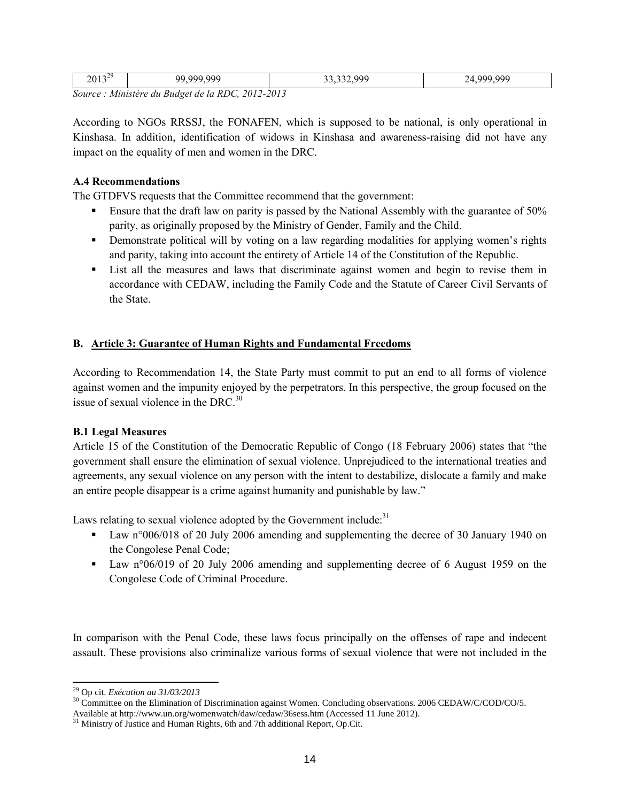| $\Delta$<br>2013               | 000<br>ററ<br>۵a                                                   | 000 | 000<br>ገበ |
|--------------------------------|-------------------------------------------------------------------|-----|-----------|
| $\sim$<br>$\sim$ $\sim$ $\sim$ | $\sim$ $\sim$ $\sim$ $\sim$ $\sim$ $\sim$ $\sim$ $\sim$<br>$\sim$ |     |           |

*Source : Ministère du Budget de la RDC, 2012-2013*

According to NGOs RRSSJ, the FONAFEN, which is supposed to be national, is only operational in Kinshasa. In addition, identification of widows in Kinshasa and awareness-raising did not have any impact on the equality of men and women in the DRC.

#### **A.4 Recommendations**

The GTDFVS requests that the Committee recommend that the government:

- Ensure that the draft law on parity is passed by the National Assembly with the guarantee of 50% parity, as originally proposed by the Ministry of Gender, Family and the Child.
- **•** Demonstrate political will by voting on a law regarding modalities for applying women's rights and parity, taking into account the entirety of Article 14 of the Constitution of the Republic.
- List all the measures and laws that discriminate against women and begin to revise them in accordance with CEDAW, including the Family Code and the Statute of Career Civil Servants of the State.

## **B. Article 3: Guarantee of Human Rights and Fundamental Freedoms**

According to Recommendation 14, the State Party must commit to put an end to all forms of violence against women and the impunity enjoyed by the perpetrators. In this perspective, the group focused on the issue of sexual violence in the DRC. $^{30}$ 

## **B.1 Legal Measures**

Article 15 of the Constitution of the Democratic Republic of Congo (18 February 2006) states that "the government shall ensure the elimination of sexual violence. Unprejudiced to the international treaties and agreements, any sexual violence on any person with the intent to destabilize, dislocate a family and make an entire people disappear is a crime against humanity and punishable by law."

Laws relating to sexual violence adopted by the Government include.<sup>31</sup>

- Law n°006/018 of 20 July 2006 amending and supplementing the decree of 30 January 1940 on the Congolese Penal Code;
- Law n°06/019 of 20 July 2006 amending and supplementing decree of 6 August 1959 on the Congolese Code of Criminal Procedure.

In comparison with the Penal Code, these laws focus principally on the offenses of rape and indecent assault. These provisions also criminalize various forms of sexual violence that were not included in the

 $\overline{a}$ <sup>29</sup> Op cit. *Exécution au 31/03/2013*

<sup>&</sup>lt;sup>30</sup> Committee on the Elimination of Discrimination against Women. Concluding observations. 2006 CEDAW/C/COD/CO/5.

Available at http://www.un.org/womenwatch/daw/cedaw/36sess.htm (Accessed 11 June 2012).

 $31$  Ministry of Justice and Human Rights, 6th and 7th additional Report, Op.Cit.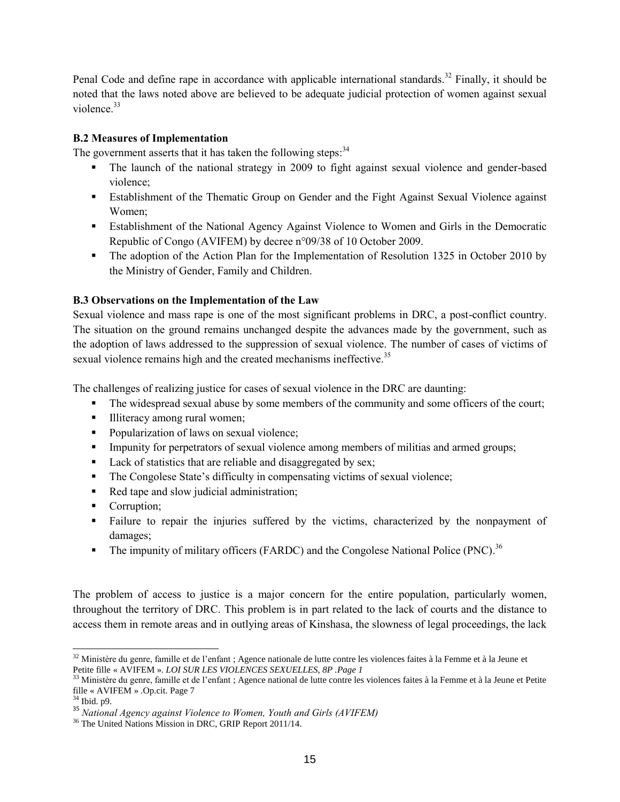Penal Code and define rape in accordance with applicable international standards.<sup>32</sup> Finally, it should be noted that the laws noted above are believed to be adequate judicial protection of women against sexual violence  $33$ 

## **B.2 Measures of Implementation**

The government asserts that it has taken the following steps:<sup>34</sup>

- The launch of the national strategy in 2009 to fight against sexual violence and gender-based violence;
- Establishment of the Thematic Group on Gender and the Fight Against Sexual Violence against Women;
- Establishment of the National Agency Against Violence to Women and Girls in the Democratic Republic of Congo (AVIFEM) by decree n°09/38 of 10 October 2009.
- The adoption of the Action Plan for the Implementation of Resolution 1325 in October 2010 by the Ministry of Gender, Family and Children.

## **B.3 Observations on the Implementation of the Law**

Sexual violence and mass rape is one of the most significant problems in DRC, a post-conflict country. The situation on the ground remains unchanged despite the advances made by the government, such as the adoption of laws addressed to the suppression of sexual violence. The number of cases of victims of sexual violence remains high and the created mechanisms ineffective.<sup>35</sup>

The challenges of realizing justice for cases of sexual violence in the DRC are daunting:

- The widespread sexual abuse by some members of the community and some officers of the court;
- Illiteracy among rural women;
- Popularization of laws on sexual violence;
- **IMPULIER IMPLE 1** Impunity for perpetrators of sexual violence among members of militias and armed groups;
- Lack of statistics that are reliable and disaggregated by sex;
- The Congolese State's difficulty in compensating victims of sexual violence;
- Red tape and slow judicial administration;
- Corruption;
- Failure to repair the injuries suffered by the victims, characterized by the nonpayment of damages;
- The impunity of military officers (FARDC) and the Congolese National Police (PNC).<sup>36</sup>

The problem of access to justice is a major concern for the entire population, particularly women, throughout the territory of DRC. This problem is in part related to the lack of courts and the distance to access them in remote areas and in outlying areas of Kinshasa, the slowness of legal proceedings, the lack

 $\overline{a}$  $32$  Ministère du genre, famille et de l'enfant ; Agence nationale de lutte contre les violences faites à la Femme et à la Jeune et Petite fille « AVIFEM ». *LOI SUR LES VIOLENCES SEXUELLES, 8P .Page 1*

<sup>&</sup>lt;sup>33</sup> Ministère du genre, famille et de l'enfant ; Agence national de lutte contre les violences faites à la Femme et à la Jeune et Petite fille « AVIFEM » .Op.cit. Page 7

<sup>34</sup> Ibid. p9.

<sup>35</sup> *National Agency against Violence to Women, Youth and Girls (AVIFEM)*

<sup>36</sup> The United Nations Mission in DRC, GRIP Report 2011/14.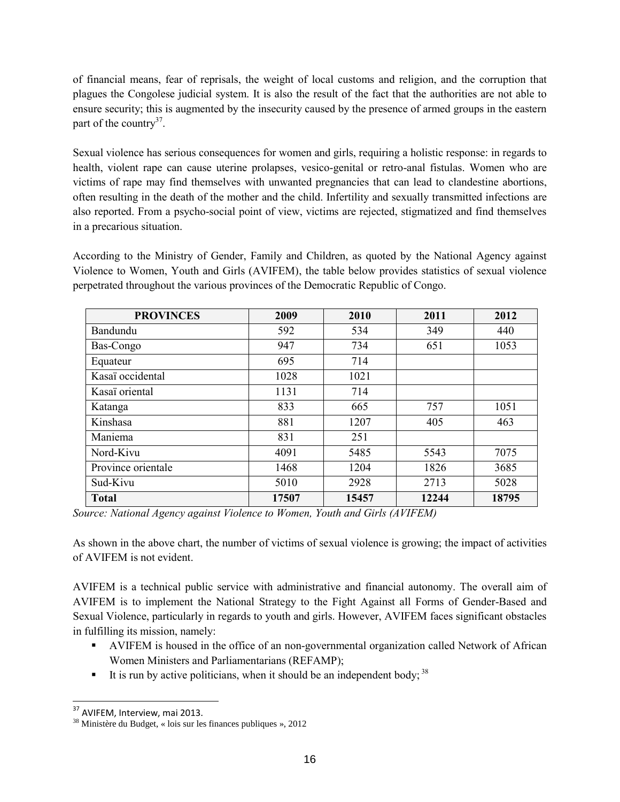of financial means, fear of reprisals, the weight of local customs and religion, and the corruption that plagues the Congolese judicial system. It is also the result of the fact that the authorities are not able to ensure security; this is augmented by the insecurity caused by the presence of armed groups in the eastern part of the country<sup>37</sup>.

Sexual violence has serious consequences for women and girls, requiring a holistic response: in regards to health, violent rape can cause uterine prolapses, vesico-genital or retro-anal fistulas. Women who are victims of rape may find themselves with unwanted pregnancies that can lead to clandestine abortions, often resulting in the death of the mother and the child. Infertility and sexually transmitted infections are also reported. From a psycho-social point of view, victims are rejected, stigmatized and find themselves in a precarious situation.

According to the Ministry of Gender, Family and Children, as quoted by the National Agency against Violence to Women, Youth and Girls (AVIFEM), the table below provides statistics of sexual violence perpetrated throughout the various provinces of the Democratic Republic of Congo.

| <b>PROVINCES</b>   | 2009  | 2010  | 2011  | 2012  |
|--------------------|-------|-------|-------|-------|
| Bandundu           | 592   | 534   | 349   | 440   |
| Bas-Congo          | 947   | 734   | 651   | 1053  |
| Equateur           | 695   | 714   |       |       |
| Kasaï occidental   | 1028  | 1021  |       |       |
| Kasaï oriental     | 1131  | 714   |       |       |
| Katanga            | 833   | 665   | 757   | 1051  |
| Kinshasa           | 881   | 1207  | 405   | 463   |
| Maniema            | 831   | 251   |       |       |
| Nord-Kivu          | 4091  | 5485  | 5543  | 7075  |
| Province orientale | 1468  | 1204  | 1826  | 3685  |
| Sud-Kivu           | 5010  | 2928  | 2713  | 5028  |
| <b>Total</b>       | 17507 | 15457 | 12244 | 18795 |

*Source: National Agency against Violence to Women, Youth and Girls (AVIFEM)*

As shown in the above chart, the number of victims of sexual violence is growing; the impact of activities of AVIFEM is not evident.

AVIFEM is a technical public service with administrative and financial autonomy. The overall aim of AVIFEM is to implement the National Strategy to the Fight Against all Forms of Gender-Based and Sexual Violence, particularly in regards to youth and girls. However, AVIFEM faces significant obstacles in fulfilling its mission, namely:

- AVIFEM is housed in the office of an non-governmental organization called Network of African Women Ministers and Parliamentarians (REFAMP);
- It is run by active politicians, when it should be an independent body;  $38$

 $\overline{a}$ <sup>37</sup> AVIFEM, Interview, mai 2013.

<sup>38</sup> Ministère du Budget, « lois sur les finances publiques », 2012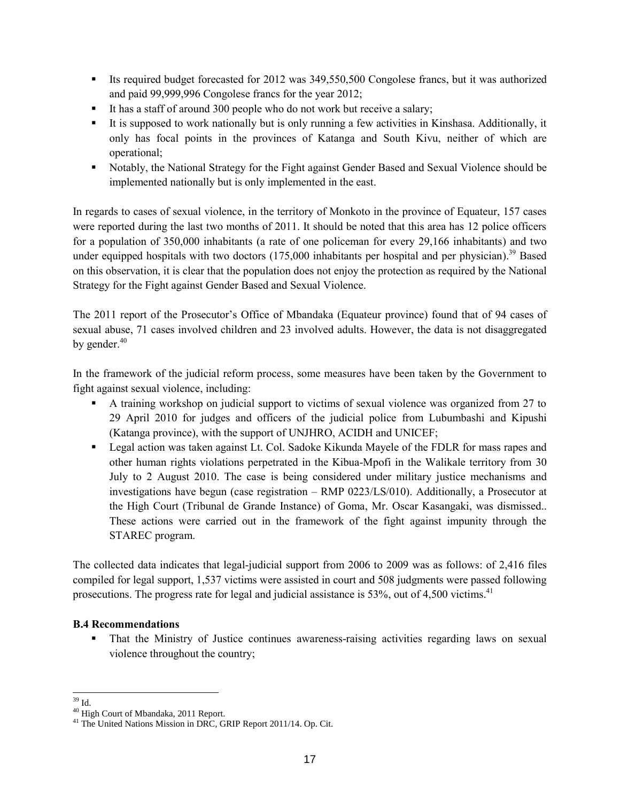- Its required budget forecasted for 2012 was 349,550,500 Congolese francs, but it was authorized and paid 99,999,996 Congolese francs for the year 2012;
- It has a staff of around 300 people who do not work but receive a salary;
- It is supposed to work nationally but is only running a few activities in Kinshasa. Additionally, it only has focal points in the provinces of Katanga and South Kivu, neither of which are operational;
- Notably, the National Strategy for the Fight against Gender Based and Sexual Violence should be implemented nationally but is only implemented in the east.

In regards to cases of sexual violence, in the territory of Monkoto in the province of Equateur, 157 cases were reported during the last two months of 2011. It should be noted that this area has 12 police officers for a population of 350,000 inhabitants (a rate of one policeman for every 29,166 inhabitants) and two under equipped hospitals with two doctors  $(175,000)$  inhabitants per hospital and per physician).<sup>39</sup> Based on this observation, it is clear that the population does not enjoy the protection as required by the National Strategy for the Fight against Gender Based and Sexual Violence.

The 2011 report of the Prosecutor's Office of Mbandaka (Equateur province) found that of 94 cases of sexual abuse, 71 cases involved children and 23 involved adults. However, the data is not disaggregated by gender.<sup>40</sup>

In the framework of the judicial reform process, some measures have been taken by the Government to fight against sexual violence, including:

- A training workshop on judicial support to victims of sexual violence was organized from 27 to 29 April 2010 for judges and officers of the judicial police from Lubumbashi and Kipushi (Katanga province), with the support of UNJHRO, ACIDH and UNICEF;
- Legal action was taken against Lt. Col. Sadoke Kikunda Mayele of the FDLR for mass rapes and other human rights violations perpetrated in the Kibua-Mpofi in the Walikale territory from 30 July to 2 August 2010. The case is being considered under military justice mechanisms and investigations have begun (case registration – RMP 0223/LS/010). Additionally, a Prosecutor at the High Court (Tribunal de Grande Instance) of Goma, Mr. Oscar Kasangaki, was dismissed.. These actions were carried out in the framework of the fight against impunity through the STAREC program.

The collected data indicates that legal-judicial support from 2006 to 2009 was as follows: of 2,416 files compiled for legal support, 1,537 victims were assisted in court and 508 judgments were passed following prosecutions. The progress rate for legal and judicial assistance is 53%, out of 4,500 victims.<sup>41</sup>

## **B.4 Recommendations**

 That the Ministry of Justice continues awareness-raising activities regarding laws on sexual violence throughout the country;

  $39$  Id.

<sup>40</sup> High Court of Mbandaka, 2011 Report.

<sup>&</sup>lt;sup>41</sup> The United Nations Mission in DRC, GRIP Report 2011/14. Op. Cit.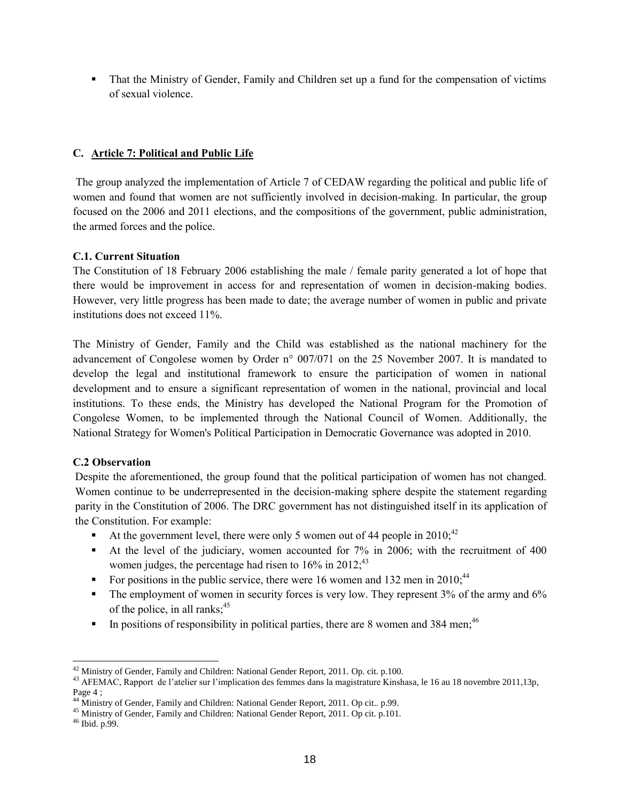That the Ministry of Gender, Family and Children set up a fund for the compensation of victims of sexual violence.

## **C. Article 7: Political and Public Life**

The group analyzed the implementation of Article 7 of CEDAW regarding the political and public life of women and found that women are not sufficiently involved in decision-making. In particular, the group focused on the 2006 and 2011 elections, and the compositions of the government, public administration, the armed forces and the police.

## **C.1. Current Situation**

The Constitution of 18 February 2006 establishing the male / female parity generated a lot of hope that there would be improvement in access for and representation of women in decision-making bodies. However, very little progress has been made to date; the average number of women in public and private institutions does not exceed 11%.

The Ministry of Gender, Family and the Child was established as the national machinery for the advancement of Congolese women by Order n° 007/071 on the 25 November 2007. It is mandated to develop the legal and institutional framework to ensure the participation of women in national development and to ensure a significant representation of women in the national, provincial and local institutions. To these ends, the Ministry has developed the National Program for the Promotion of Congolese Women, to be implemented through the National Council of Women. Additionally, the National Strategy for Women's Political Participation in Democratic Governance was adopted in 2010.

## **C.2 Observation**

Despite the aforementioned, the group found that the political participation of women has not changed. Women continue to be underrepresented in the decision-making sphere despite the statement regarding parity in the Constitution of 2006. The DRC government has not distinguished itself in its application of the Constitution. For example:

- At the government level, there were only 5 women out of 44 people in  $2010<sub>1</sub><sup>42</sup>$
- At the level of the judiciary, women accounted for 7% in 2006; with the recruitment of 400 women judges, the percentage had risen to  $16\%$  in  $2012$ ;<sup>43</sup>
- For positions in the public service, there were 16 women and 132 men in 2010;<sup>44</sup>
- The employment of women in security forces is very low. They represent 3% of the army and 6% of the police, in all ranks;<sup>45</sup>
- In positions of responsibility in political parties, there are 8 women and 384 men;<sup>46</sup>

  $42$  Ministry of Gender, Family and Children: National Gender Report, 2011. Op. cit. p.100.

<sup>&</sup>lt;sup>43</sup> AFEMAC, Rapport de l'atelier sur l'implication des femmes dans la magistrature Kinshasa, le 16 au 18 novembre 2011,13p, Page  $4$ ;<br> $^{44}$  Minist

Ministry of Gender, Family and Children: National Gender Report, 2011. Op cit.. p.99.

<sup>45</sup> Ministry of Gender, Family and Children: National Gender Report, 2011. Op cit. p.101.

<sup>46</sup> Ibid. p.99.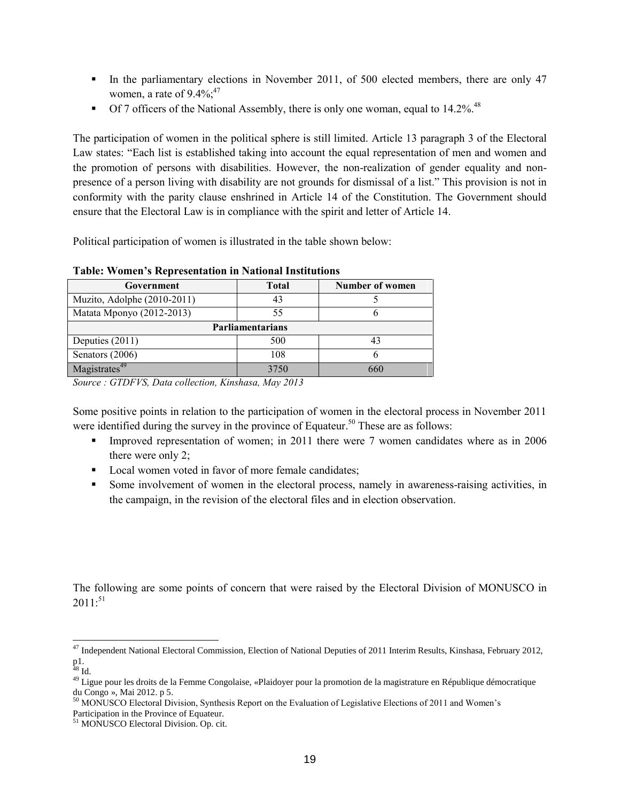- In the parliamentary elections in November 2011, of 500 elected members, there are only 47 women, a rate of  $9.4\%$ ;<sup>47</sup>
- $\blacksquare$  Of 7 officers of the National Assembly, there is only one woman, equal to 14.2%.<sup>48</sup>

The participation of women in the political sphere is still limited. Article 13 paragraph 3 of the Electoral Law states: "Each list is established taking into account the equal representation of men and women and the promotion of persons with disabilities. However, the non-realization of gender equality and nonpresence of a person living with disability are not grounds for dismissal of a list." This provision is not in conformity with the parity clause enshrined in Article 14 of the Constitution. The Government should ensure that the Electoral Law is in compliance with the spirit and letter of Article 14.

Political participation of women is illustrated in the table shown below:

| Government                  | <b>Total</b> | Number of women |  |  |  |
|-----------------------------|--------------|-----------------|--|--|--|
| Muzito, Adolphe (2010-2011) | 43           |                 |  |  |  |
| Matata Mponyo (2012-2013)   | 55           |                 |  |  |  |
| Parliamentarians            |              |                 |  |  |  |
| Deputies (2011)             | 500          |                 |  |  |  |
| Senators (2006)             | 108          |                 |  |  |  |
| Magistrates <sup>49</sup>   | 3750         | 660             |  |  |  |

#### **Table: Women's Representation in National Institutions**

*Source : GTDFVS, Data collection, Kinshasa, May 2013*

Some positive points in relation to the participation of women in the electoral process in November 2011 were identified during the survey in the province of Equateur.<sup>50</sup> These are as follows:

- Improved representation of women; in 2011 there were 7 women candidates where as in 2006 there were only 2;
- Local women voted in favor of more female candidates;
- Some involvement of women in the electoral process, namely in awareness-raising activities, in the campaign, in the revision of the electoral files and in election observation.

The following are some points of concern that were raised by the Electoral Division of MONUSCO in  $2011$ :<sup>51</sup>

 <sup>47</sup> Independent National Electoral Commission, Election of National Deputies of 2011 Interim Results, Kinshasa, February 2012, p1.

 $^{48}$  Id.

<sup>&</sup>lt;sup>49</sup> Ligue pour les droits de la Femme Congolaise, «Plaidoyer pour la promotion de la magistrature en République démocratique du Congo », Mai 2012. p 5.

<sup>&</sup>lt;sup>50</sup> MONUSCO Electoral Division, Synthesis Report on the Evaluation of Legislative Elections of 2011 and Women's Participation in the Province of Equateur.

<sup>51</sup> MONUSCO Electoral Division. Op. cit.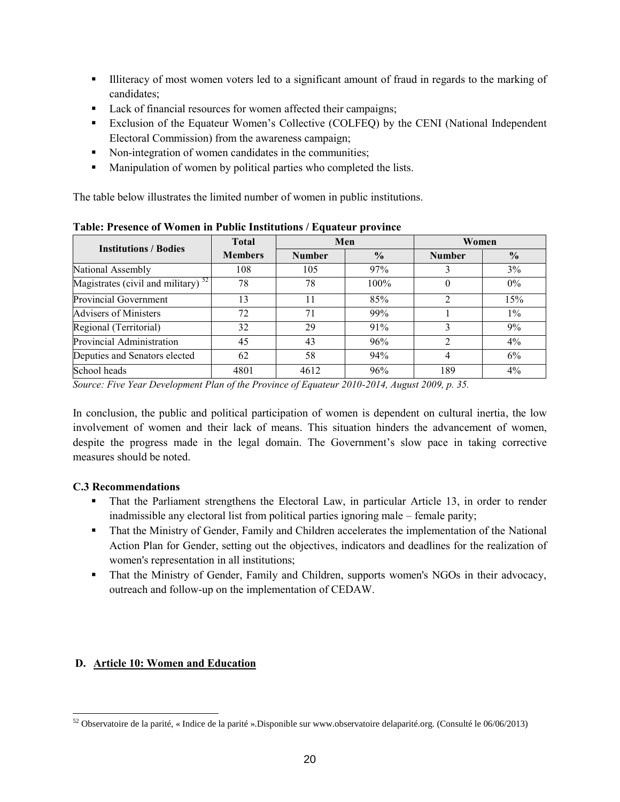- Illiteracy of most women voters led to a significant amount of fraud in regards to the marking of candidates;
- **Lack of financial resources for women affected their campaigns;**
- Exclusion of the Equateur Women's Collective (COLFEQ) by the CENI (National Independent Electoral Commission) from the awareness campaign;
- Non-integration of women candidates in the communities;
- **Manipulation of women by political parties who completed the lists.**

The table below illustrates the limited number of women in public institutions.

| <b>Institutions / Bodies</b>             | <b>Total</b>   | Men           |               | Women         |               |
|------------------------------------------|----------------|---------------|---------------|---------------|---------------|
|                                          | <b>Members</b> | <b>Number</b> | $\frac{0}{0}$ | <b>Number</b> | $\frac{0}{0}$ |
| National Assembly                        | 108            | 105           | 97%           |               | 3%            |
| Magistrates (civil and military) $^{52}$ | 78             | 78            | 100%          |               | $0\%$         |
| Provincial Government                    | 13             | 11            | 85%           |               | 15%           |
| Advisers of Ministers                    | 72             | 71            | 99%           |               | $1\%$         |
| Regional (Territorial)                   | 32             | 29            | 91%           |               | 9%            |
| Provincial Administration                | 45             | 43            | 96%           |               | $4\%$         |
| Deputies and Senators elected            | 62             | 58            | 94%           |               | $6\%$         |
| School heads                             | 4801           | 4612          | 96%           | 189           | $4\%$         |

**Table: Presence of Women in Public Institutions / Equateur province**

*Source: Five Year Development Plan of the Province of Equateur 2010-2014, August 2009, p. 35.*

In conclusion, the public and political participation of women is dependent on cultural inertia, the low involvement of women and their lack of means. This situation hinders the advancement of women, despite the progress made in the legal domain. The Government's slow pace in taking corrective measures should be noted.

## **C.3 Recommendations**

- That the Parliament strengthens the Electoral Law, in particular Article 13, in order to render inadmissible any electoral list from political parties ignoring male – female parity;
- That the Ministry of Gender, Family and Children accelerates the implementation of the National Action Plan for Gender, setting out the objectives, indicators and deadlines for the realization of women's representation in all institutions;
- That the Ministry of Gender, Family and Children, supports women's NGOs in their advocacy, outreach and follow-up on the implementation of CEDAW.

## **D. Article 10: Women and Education**

 <sup>52</sup> Observatoire de la parité, « Indice de la parité ».Disponible sur www.observatoire delaparité.org. (Consulté le 06/06/2013)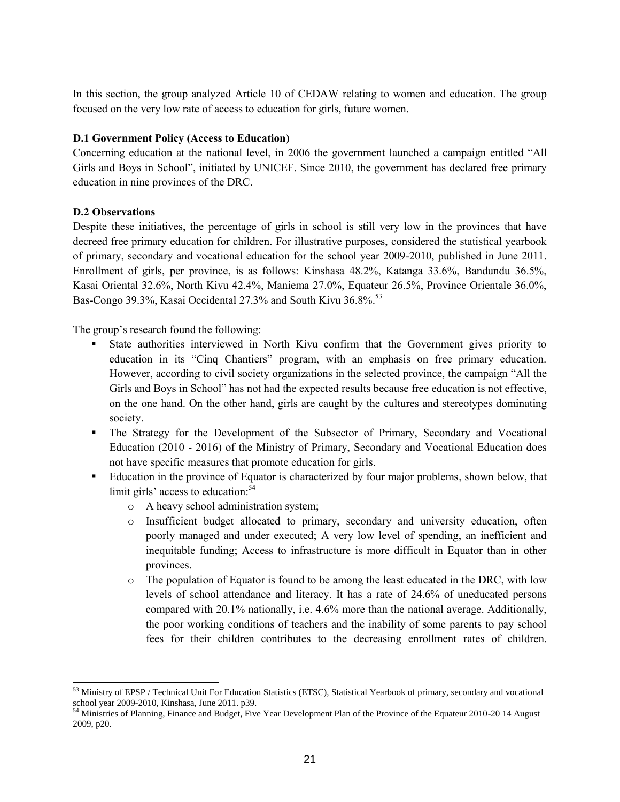In this section, the group analyzed Article 10 of CEDAW relating to women and education. The group focused on the very low rate of access to education for girls, future women.

## **D.1 Government Policy (Access to Education)**

Concerning education at the national level, in 2006 the government launched a campaign entitled "All Girls and Boys in School", initiated by UNICEF. Since 2010, the government has declared free primary education in nine provinces of the DRC.

#### **D.2 Observations**

 $\overline{a}$ 

Despite these initiatives, the percentage of girls in school is still very low in the provinces that have decreed free primary education for children. For illustrative purposes, considered the statistical yearbook of primary, secondary and vocational education for the school year 2009-2010, published in June 2011. Enrollment of girls, per province, is as follows: Kinshasa 48.2%, Katanga 33.6%, Bandundu 36.5%, Kasai Oriental 32.6%, North Kivu 42.4%, Maniema 27.0%, Equateur 26.5%, Province Orientale 36.0%, Bas-Congo 39.3%, Kasai Occidental 27.3% and South Kivu 36.8%.<sup>53</sup>

The group's research found the following:

- State authorities interviewed in North Kivu confirm that the Government gives priority to education in its "Cinq Chantiers" program, with an emphasis on free primary education. However, according to civil society organizations in the selected province, the campaign "All the Girls and Boys in School" has not had the expected results because free education is not effective, on the one hand. On the other hand, girls are caught by the cultures and stereotypes dominating society.
- The Strategy for the Development of the Subsector of Primary, Secondary and Vocational Education (2010 - 2016) of the Ministry of Primary, Secondary and Vocational Education does not have specific measures that promote education for girls.
- **Education in the province of Equator is characterized by four major problems, shown below, that** limit girls' access to education:<sup>54</sup>
	- o A heavy school administration system;
	- o Insufficient budget allocated to primary, secondary and university education, often poorly managed and under executed; A very low level of spending, an inefficient and inequitable funding; Access to infrastructure is more difficult in Equator than in other provinces.
	- $\circ$  The population of Equator is found to be among the least educated in the DRC, with low levels of school attendance and literacy. It has a rate of 24.6% of uneducated persons compared with 20.1% nationally, i.e. 4.6% more than the national average. Additionally, the poor working conditions of teachers and the inability of some parents to pay school fees for their children contributes to the decreasing enrollment rates of children.

<sup>&</sup>lt;sup>53</sup> Ministry of EPSP / Technical Unit For Education Statistics (ETSC), Statistical Yearbook of primary, secondary and vocational school year 2009-2010, Kinshasa, June 2011. p39.

<sup>&</sup>lt;sup>54</sup> Ministries of Planning, Finance and Budget, Five Year Development Plan of the Province of the Equateur 2010-20 14 August 2009, p20.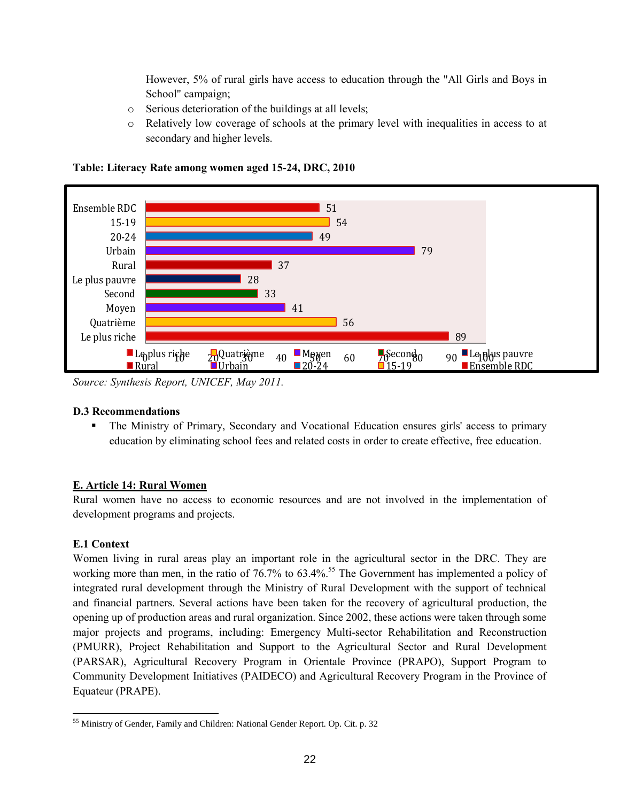However, 5% of rural girls have access to education through the "All Girls and Boys in School" campaign;

- o Serious deterioration of the buildings at all levels;
- o Relatively low coverage of schools at the primary level with inequalities in access to at secondary and higher levels.



**Table: Literacy Rate among women aged 15-24, DRC, 2010**

*Source: Synthesis Report, UNICEF, May 2011.*

## **D.3 Recommendations**

 The Ministry of Primary, Secondary and Vocational Education ensures girls' access to primary education by eliminating school fees and related costs in order to create effective, free education.

## **E. Article 14: Rural Women**

Rural women have no access to economic resources and are not involved in the implementation of development programs and projects.

## **E.1 Context**

Women living in rural areas play an important role in the agricultural sector in the DRC. They are working more than men, in the ratio of 76.7% to 63.4%.<sup>55</sup> The Government has implemented a policy of integrated rural development through the Ministry of Rural Development with the support of technical and financial partners. Several actions have been taken for the recovery of agricultural production, the opening up of production areas and rural organization. Since 2002, these actions were taken through some major projects and programs, including: Emergency Multi-sector Rehabilitation and Reconstruction (PMURR), Project Rehabilitation and Support to the Agricultural Sector and Rural Development (PARSAR), Agricultural Recovery Program in Orientale Province (PRAPO), Support Program to Community Development Initiatives (PAIDECO) and Agricultural Recovery Program in the Province of Equateur (PRAPE).

 <sup>55</sup> Ministry of Gender, Family and Children: National Gender Report. Op. Cit. p. 32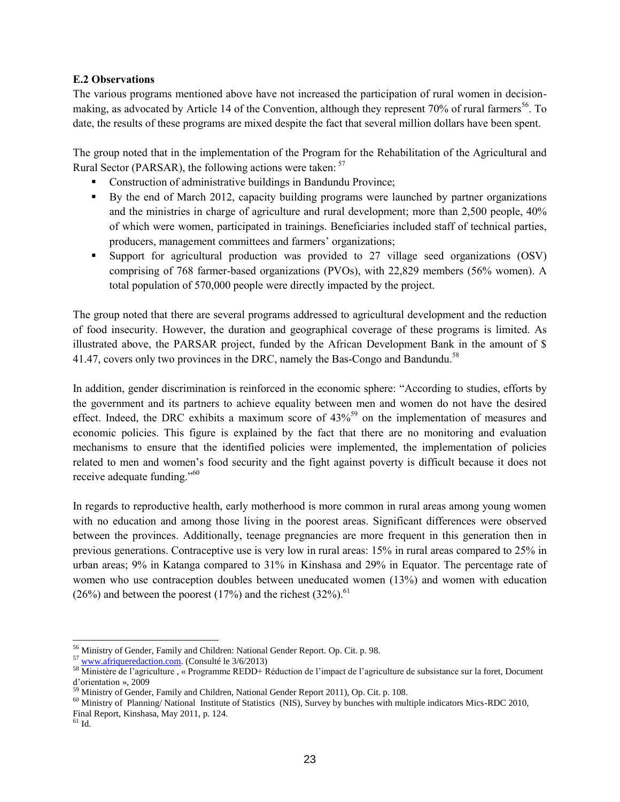#### **E.2 Observations**

The various programs mentioned above have not increased the participation of rural women in decisionmaking, as advocated by Article 14 of the Convention, although they represent 70% of rural farmers<sup>56</sup>. To date, the results of these programs are mixed despite the fact that several million dollars have been spent.

The group noted that in the implementation of the Program for the Rehabilitation of the Agricultural and Rural Sector (PARSAR), the following actions were taken: <sup>57</sup>

- Construction of administrative buildings in Bandundu Province;
- By the end of March 2012, capacity building programs were launched by partner organizations and the ministries in charge of agriculture and rural development; more than 2,500 people, 40% of which were women, participated in trainings. Beneficiaries included staff of technical parties, producers, management committees and farmers' organizations;
- Support for agricultural production was provided to 27 village seed organizations (OSV) comprising of 768 farmer-based organizations (PVOs), with 22,829 members (56% women). A total population of 570,000 people were directly impacted by the project.

The group noted that there are several programs addressed to agricultural development and the reduction of food insecurity. However, the duration and geographical coverage of these programs is limited. As illustrated above, the PARSAR project, funded by the African Development Bank in the amount of \$ 41.47, covers only two provinces in the DRC, namely the Bas-Congo and Bandundu.<sup>58</sup>

In addition, gender discrimination is reinforced in the economic sphere: "According to studies, efforts by the government and its partners to achieve equality between men and women do not have the desired effect. Indeed, the DRC exhibits a maximum score of  $43\%^{59}$  on the implementation of measures and economic policies. This figure is explained by the fact that there are no monitoring and evaluation mechanisms to ensure that the identified policies were implemented, the implementation of policies related to men and women's food security and the fight against poverty is difficult because it does not receive adequate funding."<sup>60</sup>

In regards to reproductive health, early motherhood is more common in rural areas among young women with no education and among those living in the poorest areas. Significant differences were observed between the provinces. Additionally, teenage pregnancies are more frequent in this generation then in previous generations. Contraceptive use is very low in rural areas: 15% in rural areas compared to 25% in urban areas; 9% in Katanga compared to 31% in Kinshasa and 29% in Equator. The percentage rate of women who use contraception doubles between uneducated women (13%) and women with education (26%) and between the poorest (17%) and the richest (32%).<sup>61</sup>

<sup>56</sup> Ministry of Gender, Family and Children: National Gender Report. Op. Cit. p. 98.

<sup>57</sup> [www.afriqueredaction.com.](http://www.afriqueredaction.com/) (Consulté le 3/6/2013)

<sup>58</sup> Ministère de l'agriculture , « Programme REDD+ Réduction de l'impact de l'agriculture de subsistance sur la foret, Document d'orientation », 2009

 $59$  Ministry of Gender, Family and Children, National Gender Report 2011), Op. Cit. p. 108.

<sup>60</sup> Ministry of Planning/ National Institute of Statistics (NIS), Survey by bunches with multiple indicators Mics-RDC 2010, Final Report, Kinshasa, May 2011, p. 124.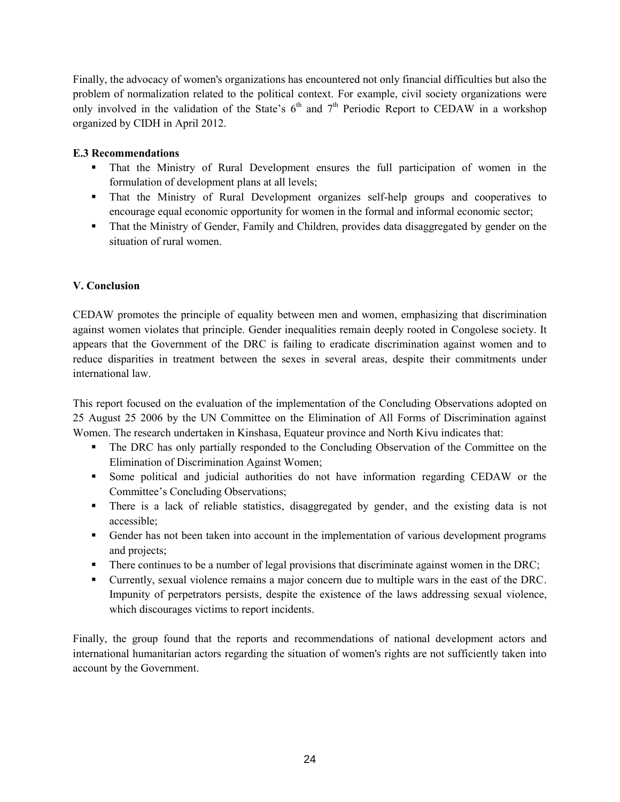Finally, the advocacy of women's organizations has encountered not only financial difficulties but also the problem of normalization related to the political context. For example, civil society organizations were only involved in the validation of the State's  $6<sup>th</sup>$  and  $7<sup>th</sup>$  Periodic Report to CEDAW in a workshop organized by CIDH in April 2012.

## **E.3 Recommendations**

- That the Ministry of Rural Development ensures the full participation of women in the formulation of development plans at all levels;
- That the Ministry of Rural Development organizes self-help groups and cooperatives to encourage equal economic opportunity for women in the formal and informal economic sector;
- That the Ministry of Gender, Family and Children, provides data disaggregated by gender on the situation of rural women.

## **V. Conclusion**

CEDAW promotes the principle of equality between men and women, emphasizing that discrimination against women violates that principle. Gender inequalities remain deeply rooted in Congolese society. It appears that the Government of the DRC is failing to eradicate discrimination against women and to reduce disparities in treatment between the sexes in several areas, despite their commitments under international law.

This report focused on the evaluation of the implementation of the Concluding Observations adopted on 25 August 25 2006 by the UN Committee on the Elimination of All Forms of Discrimination against Women. The research undertaken in Kinshasa, Equateur province and North Kivu indicates that:

- The DRC has only partially responded to the Concluding Observation of the Committee on the Elimination of Discrimination Against Women;
- Some political and judicial authorities do not have information regarding CEDAW or the Committee's Concluding Observations;
- There is a lack of reliable statistics, disaggregated by gender, and the existing data is not accessible;
- Gender has not been taken into account in the implementation of various development programs and projects;
- There continues to be a number of legal provisions that discriminate against women in the DRC;
- Currently, sexual violence remains a major concern due to multiple wars in the east of the DRC. Impunity of perpetrators persists, despite the existence of the laws addressing sexual violence, which discourages victims to report incidents.

Finally, the group found that the reports and recommendations of national development actors and international humanitarian actors regarding the situation of women's rights are not sufficiently taken into account by the Government.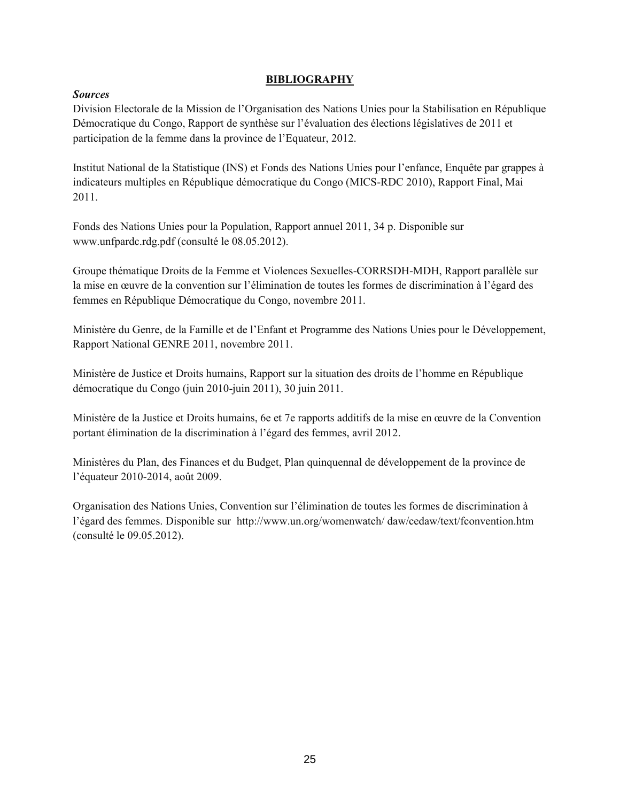#### **BIBLIOGRAPHY**

## *Sources*

Division Electorale de la Mission de l'Organisation des Nations Unies pour la Stabilisation en République Démocratique du Congo, Rapport de synthèse sur l'évaluation des élections législatives de 2011 et participation de la femme dans la province de l'Equateur, 2012.

Institut National de la Statistique (INS) et Fonds des Nations Unies pour l'enfance, Enquête par grappes à indicateurs multiples en République démocratique du Congo (MICS-RDC 2010), Rapport Final, Mai 2011.

Fonds des Nations Unies pour la Population, Rapport annuel 2011, 34 p. Disponible sur www.unfpardc.rdg.pdf (consulté le 08.05.2012).

Groupe thématique Droits de la Femme et Violences Sexuelles-CORRSDH-MDH, Rapport parallèle sur la mise en œuvre de la convention sur l'élimination de toutes les formes de discrimination à l'égard des femmes en République Démocratique du Congo, novembre 2011.

Ministère du Genre, de la Famille et de l'Enfant et Programme des Nations Unies pour le Développement, Rapport National GENRE 2011, novembre 2011.

Ministère de Justice et Droits humains, Rapport sur la situation des droits de l'homme en République démocratique du Congo (juin 2010-juin 2011), 30 juin 2011.

Ministère de la Justice et Droits humains, 6e et 7e rapports additifs de la mise en œuvre de la Convention portant élimination de la discrimination à l'égard des femmes, avril 2012.

Ministères du Plan, des Finances et du Budget, Plan quinquennal de développement de la province de l'équateur 2010-2014, août 2009.

Organisation des Nations Unies, Convention sur l'élimination de toutes les formes de discrimination à l'égard des femmes. Disponible sur <http://www.un.org/womenwatch/> daw/cedaw/text/fconvention.htm (consulté le 09.05.2012).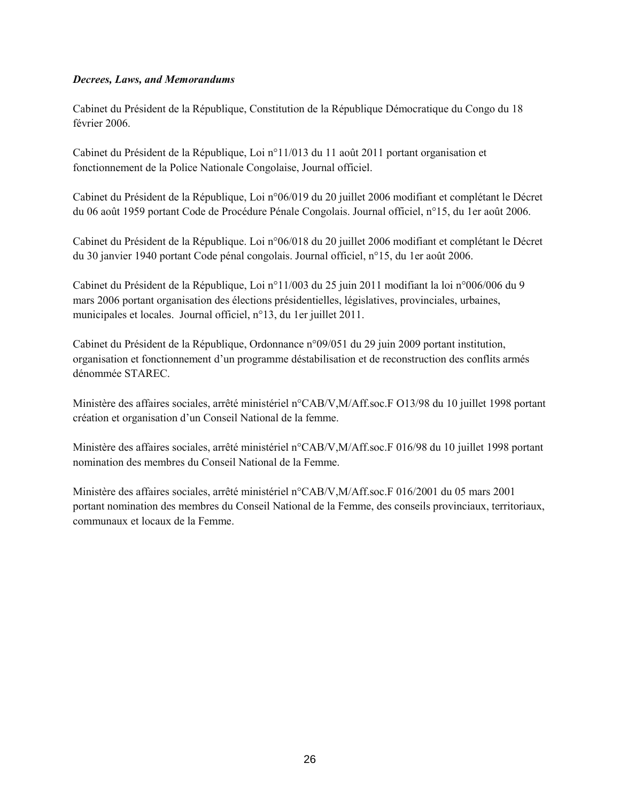#### *Decrees, Laws, and Memorandums*

Cabinet du Président de la République, Constitution de la République Démocratique du Congo du 18 février 2006.

Cabinet du Président de la République, Loi n°11/013 du 11 août 2011 portant organisation et fonctionnement de la Police Nationale Congolaise, Journal officiel.

Cabinet du Président de la République, Loi n°06/019 du 20 juillet 2006 modifiant et complétant le Décret du 06 août 1959 portant Code de Procédure Pénale Congolais. Journal officiel, n°15, du 1er août 2006.

Cabinet du Président de la République. Loi n°06/018 du 20 juillet 2006 modifiant et complétant le Décret du 30 janvier 1940 portant Code pénal congolais. Journal officiel, n°15, du 1er août 2006.

Cabinet du Président de la République, Loi n°11/003 du 25 juin 2011 modifiant la loi n°006/006 du 9 mars 2006 portant organisation des élections présidentielles, législatives, provinciales, urbaines, municipales et locales. Journal officiel, n°13, du 1er juillet 2011.

Cabinet du Président de la République, Ordonnance n°09/051 du 29 juin 2009 portant institution, organisation et fonctionnement d'un programme déstabilisation et de reconstruction des conflits armés dénommée STAREC.

Ministère des affaires sociales, arrêté ministériel n°CAB/V,M/Aff.soc.F O13/98 du 10 juillet 1998 portant création et organisation d'un Conseil National de la femme.

Ministère des affaires sociales, arrêté ministériel n°CAB/V,M/Aff.soc.F 016/98 du 10 juillet 1998 portant nomination des membres du Conseil National de la Femme.

Ministère des affaires sociales, arrêté ministériel n°CAB/V,M/Aff.soc.F 016/2001 du 05 mars 2001 portant nomination des membres du Conseil National de la Femme, des conseils provinciaux, territoriaux, communaux et locaux de la Femme.